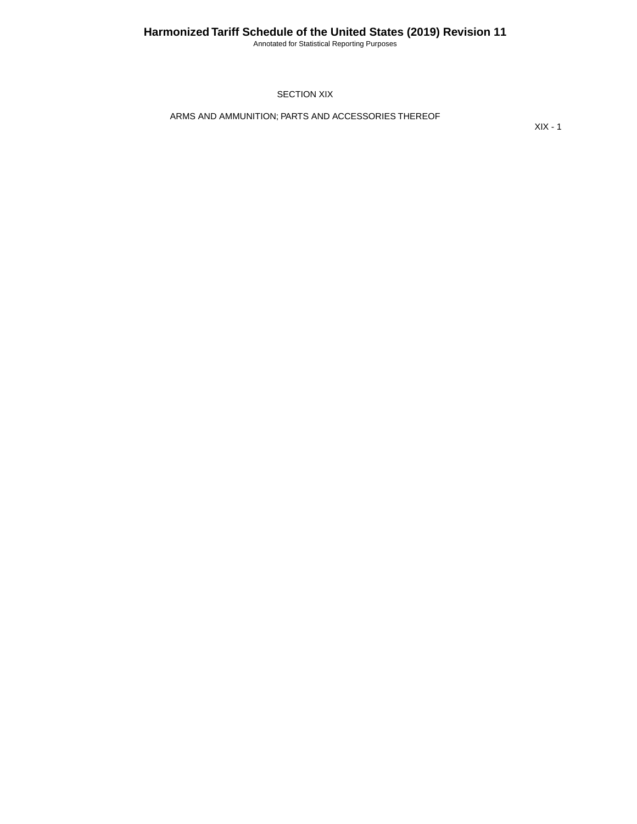Annotated for Statistical Reporting Purposes

SECTION XIX

ARMS AND AMMUNITION; PARTS AND ACCESSORIES THEREOF

XIX - 1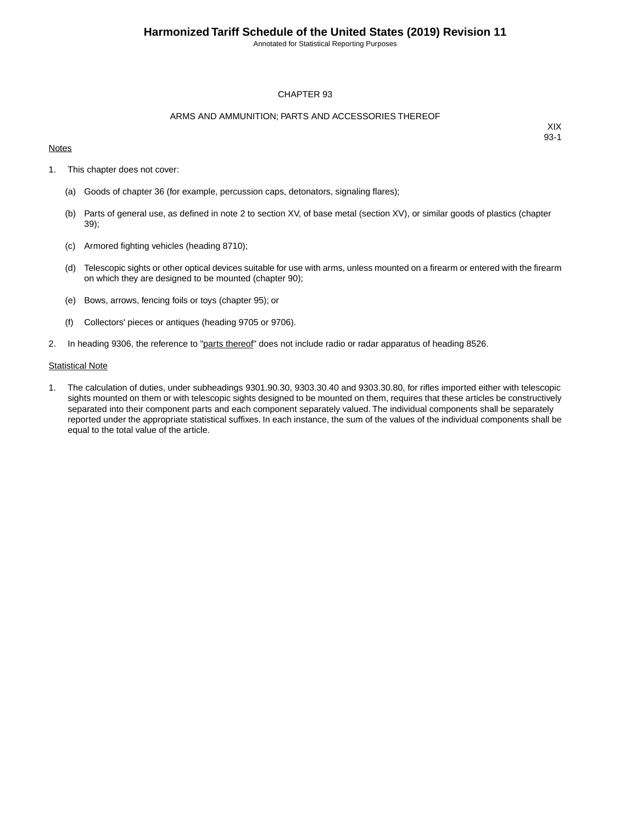Annotated for Statistical Reporting Purposes

#### CHAPTER 93

#### ARMS AND AMMUNITION; PARTS AND ACCESSORIES THEREOF

### **Notes**

XIX 93-1

- 1. This chapter does not cover:
	- (a) Goods of chapter 36 (for example, percussion caps, detonators, signaling flares);
	- (b) Parts of general use, as defined in note 2 to section XV, of base metal (section XV), or similar goods of plastics (chapter 39);
	- (c) Armored fighting vehicles (heading 8710);
	- (d) Telescopic sights or other optical devices suitable for use with arms, unless mounted on a firearm or entered with the firearm on which they are designed to be mounted (chapter 90);
	- (e) Bows, arrows, fencing foils or toys (chapter 95); or
	- (f) Collectors' pieces or antiques (heading 9705 or 9706).
- 2. In heading 9306, the reference to "parts thereof" does not include radio or radar apparatus of heading 8526.

#### **Statistical Note**

1. The calculation of duties, under subheadings 9301.90.30, 9303.30.40 and 9303.30.80, for rifles imported either with telescopic sights mounted on them or with telescopic sights designed to be mounted on them, requires that these articles be constructively separated into their component parts and each component separately valued. The individual components shall be separately reported under the appropriate statistical suffixes. In each instance, the sum of the values of the individual components shall be equal to the total value of the article.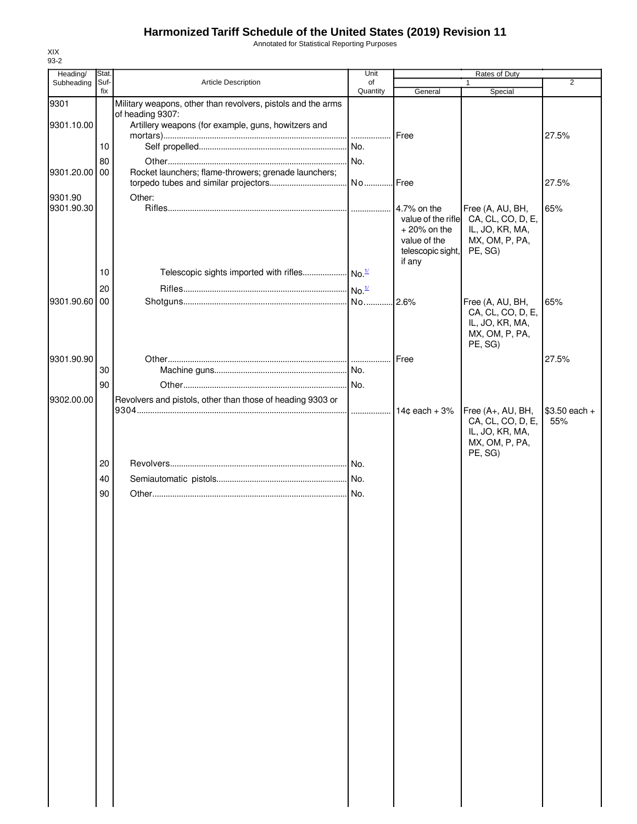Annotated for Statistical Reporting Purposes

| Heading/      | Stat.       |                                                              | Unit           |                                | Rates of Duty                     |                |
|---------------|-------------|--------------------------------------------------------------|----------------|--------------------------------|-----------------------------------|----------------|
| Subheading    | Suf-<br>fix | <b>Article Description</b>                                   | of<br>Quantity | General                        | -1<br>Special                     | 2              |
| 9301          |             | Military weapons, other than revolvers, pistols and the arms |                |                                |                                   |                |
|               |             | of heading 9307:                                             |                |                                |                                   |                |
| 9301.10.00    |             | Artillery weapons (for example, guns, howitzers and          |                |                                |                                   |                |
|               | 10          |                                                              |                | Free                           |                                   | 27.5%          |
|               |             |                                                              |                |                                |                                   |                |
| 9301.20.00 00 | 80          | Rocket launchers; flame-throwers; grenade launchers;         | No.            |                                |                                   |                |
|               |             |                                                              |                |                                |                                   | 27.5%          |
| 9301.90       |             | Other:                                                       |                |                                |                                   |                |
| 9301.90.30    |             |                                                              |                | 4.7% on the                    | Free (A, AU, BH,                  | 65%            |
|               |             |                                                              |                | value of the rifle             | CA, CL, CO, D, E,                 |                |
|               |             |                                                              |                | $+20\%$ on the<br>value of the | IL, JO, KR, MA,<br>MX, OM, P, PA, |                |
|               |             |                                                              |                | telescopic sight,              | PE, SG)                           |                |
|               |             |                                                              |                | if any                         |                                   |                |
|               | 10          |                                                              |                |                                |                                   |                |
|               | 20          |                                                              |                |                                |                                   |                |
| 9301.90.60 00 |             |                                                              |                | .2.6%                          | Free (A, AU, BH,                  | 65%            |
|               |             |                                                              |                |                                | CA, CL, CO, D, E,                 |                |
|               |             |                                                              |                |                                | IL, JO, KR, MA,                   |                |
|               |             |                                                              |                |                                | MX, OM, P, PA,<br>PE, SG)         |                |
| 9301.90.90    |             |                                                              |                | Free                           |                                   | 27.5%          |
|               | 30          |                                                              |                |                                |                                   |                |
|               | 90          |                                                              |                |                                |                                   |                |
| 9302.00.00    |             | Revolvers and pistols, other than those of heading 9303 or   |                |                                |                                   |                |
|               |             |                                                              | .              | $14c$ each $+3%$               | Free (A+, AU, BH,                 | $$3.50$ each + |
|               |             |                                                              |                |                                | CA, CL, CO, D, E,                 | 55%            |
|               |             |                                                              |                |                                | IL, JO, KR, MA,                   |                |
|               |             |                                                              |                |                                | MX, OM, P, PA,<br>PE, SG)         |                |
|               | 20          |                                                              |                |                                |                                   |                |
|               | 40          |                                                              |                |                                |                                   |                |
|               | 90          |                                                              |                |                                |                                   |                |
|               |             |                                                              |                |                                |                                   |                |
|               |             |                                                              |                |                                |                                   |                |
|               |             |                                                              |                |                                |                                   |                |
|               |             |                                                              |                |                                |                                   |                |
|               |             |                                                              |                |                                |                                   |                |
|               |             |                                                              |                |                                |                                   |                |
|               |             |                                                              |                |                                |                                   |                |
|               |             |                                                              |                |                                |                                   |                |
|               |             |                                                              |                |                                |                                   |                |
|               |             |                                                              |                |                                |                                   |                |
|               |             |                                                              |                |                                |                                   |                |
|               |             |                                                              |                |                                |                                   |                |
|               |             |                                                              |                |                                |                                   |                |
|               |             |                                                              |                |                                |                                   |                |
|               |             |                                                              |                |                                |                                   |                |
|               |             |                                                              |                |                                |                                   |                |
|               |             |                                                              |                |                                |                                   |                |
|               |             |                                                              |                |                                |                                   |                |
|               |             |                                                              |                |                                |                                   |                |
|               |             |                                                              |                |                                |                                   |                |
|               |             |                                                              |                |                                |                                   |                |
|               |             |                                                              |                |                                |                                   |                |
|               |             |                                                              |                |                                |                                   |                |
|               |             |                                                              |                |                                |                                   |                |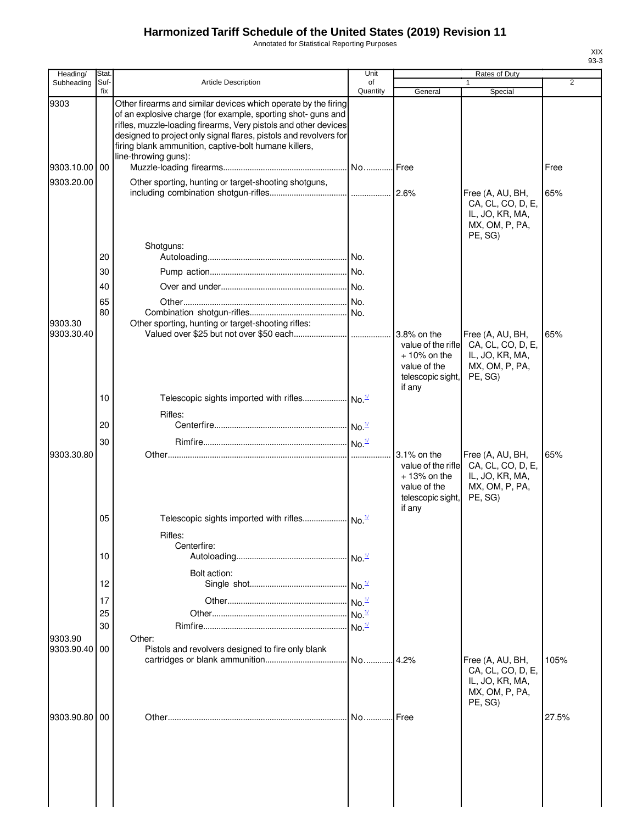Annotated for Statistical Reporting Purposes

| Heading/                         | <b>Stat</b> |                                                                                                                                                                                                                                                                                                                                                                                                                 | Unit                      |                                                                                                      | Rates of Duty                                                                         |                |
|----------------------------------|-------------|-----------------------------------------------------------------------------------------------------------------------------------------------------------------------------------------------------------------------------------------------------------------------------------------------------------------------------------------------------------------------------------------------------------------|---------------------------|------------------------------------------------------------------------------------------------------|---------------------------------------------------------------------------------------|----------------|
| Subheading                       | Suf-<br>fix | <b>Article Description</b>                                                                                                                                                                                                                                                                                                                                                                                      | of<br>Quantity            | General                                                                                              | 1<br>Special                                                                          | $\overline{2}$ |
| 9303<br>9303.10.00<br>9303.20.00 | 00          | Other firearms and similar devices which operate by the firing<br>of an explosive charge (for example, sporting shot- guns and<br>rifles, muzzle-loading firearms, Very pistols and other devices<br>designed to project only signal flares, pistols and revolvers for<br>firing blank ammunition, captive-bolt humane killers,<br>line-throwing guns):<br>Other sporting, hunting or target-shooting shotguns, |                           |                                                                                                      | Free (A, AU, BH,                                                                      | Free<br>65%    |
|                                  | 20<br>30    | Shotguns:                                                                                                                                                                                                                                                                                                                                                                                                       |                           |                                                                                                      | CA, CL, CO, D, E,<br>IL, JO, KR, MA,<br>MX, OM, P, PA,<br>PE, SG)                     |                |
|                                  | 40          |                                                                                                                                                                                                                                                                                                                                                                                                                 |                           |                                                                                                      |                                                                                       |                |
|                                  | 65          |                                                                                                                                                                                                                                                                                                                                                                                                                 |                           |                                                                                                      |                                                                                       |                |
|                                  | 80          |                                                                                                                                                                                                                                                                                                                                                                                                                 |                           |                                                                                                      |                                                                                       |                |
| 9303.30<br>9303.30.40            |             | Other sporting, hunting or target-shooting rifles:                                                                                                                                                                                                                                                                                                                                                              |                           | value of the rifle<br>$+10\%$ on the<br>value of the                                                 | Free (A, AU, BH,<br>CA, CL, CO, D, E,<br>IL, JO, KR, MA,<br>MX, OM, P, PA,            | 65%            |
|                                  |             |                                                                                                                                                                                                                                                                                                                                                                                                                 |                           | telescopic sight,<br>if any                                                                          | PE, SG)                                                                               |                |
|                                  | 10          |                                                                                                                                                                                                                                                                                                                                                                                                                 |                           |                                                                                                      |                                                                                       |                |
|                                  |             | Rifles:                                                                                                                                                                                                                                                                                                                                                                                                         |                           |                                                                                                      |                                                                                       |                |
|                                  | 20          |                                                                                                                                                                                                                                                                                                                                                                                                                 |                           |                                                                                                      |                                                                                       |                |
|                                  | 30          |                                                                                                                                                                                                                                                                                                                                                                                                                 |                           |                                                                                                      |                                                                                       |                |
| 9303.30.80                       |             |                                                                                                                                                                                                                                                                                                                                                                                                                 |                           | $3.1\%$ on the<br>value of the rifle<br>$+13%$ on the<br>value of the<br>telescopic sight,<br>if any | Free (A, AU, BH,<br>CA, CL, CO, D, E,<br>IL, JO, KR, MA,<br>MX, OM, P, PA,<br>PE, SG) | 65%            |
|                                  | 05          |                                                                                                                                                                                                                                                                                                                                                                                                                 |                           |                                                                                                      |                                                                                       |                |
|                                  |             | Rifles:                                                                                                                                                                                                                                                                                                                                                                                                         |                           |                                                                                                      |                                                                                       |                |
|                                  | 10          | Centerfire:                                                                                                                                                                                                                                                                                                                                                                                                     |                           |                                                                                                      |                                                                                       |                |
|                                  |             |                                                                                                                                                                                                                                                                                                                                                                                                                 |                           |                                                                                                      |                                                                                       |                |
|                                  |             | Bolt action:                                                                                                                                                                                                                                                                                                                                                                                                    |                           |                                                                                                      |                                                                                       |                |
|                                  | 12          |                                                                                                                                                                                                                                                                                                                                                                                                                 |                           |                                                                                                      |                                                                                       |                |
|                                  | 17          |                                                                                                                                                                                                                                                                                                                                                                                                                 | $\cdot$ No. $\frac{1}{2}$ |                                                                                                      |                                                                                       |                |
|                                  | 25          |                                                                                                                                                                                                                                                                                                                                                                                                                 | $\cdot$ No. $\frac{1}{2}$ |                                                                                                      |                                                                                       |                |
|                                  | 30          |                                                                                                                                                                                                                                                                                                                                                                                                                 |                           |                                                                                                      |                                                                                       |                |
| 9303.90<br>9303.90.40            | 00          | Other:<br>Pistols and revolvers designed to fire only blank                                                                                                                                                                                                                                                                                                                                                     |                           | 4.2%                                                                                                 | Free (A, AU, BH,<br>CA, CL, CO, D, E,                                                 | 105%           |
| 9303.90.80                       | 00          |                                                                                                                                                                                                                                                                                                                                                                                                                 | No                        | Free                                                                                                 | IL, JO, KR, MA,<br>MX, OM, P, PA,<br>PE, SG)                                          | 27.5%          |
|                                  |             |                                                                                                                                                                                                                                                                                                                                                                                                                 |                           |                                                                                                      |                                                                                       |                |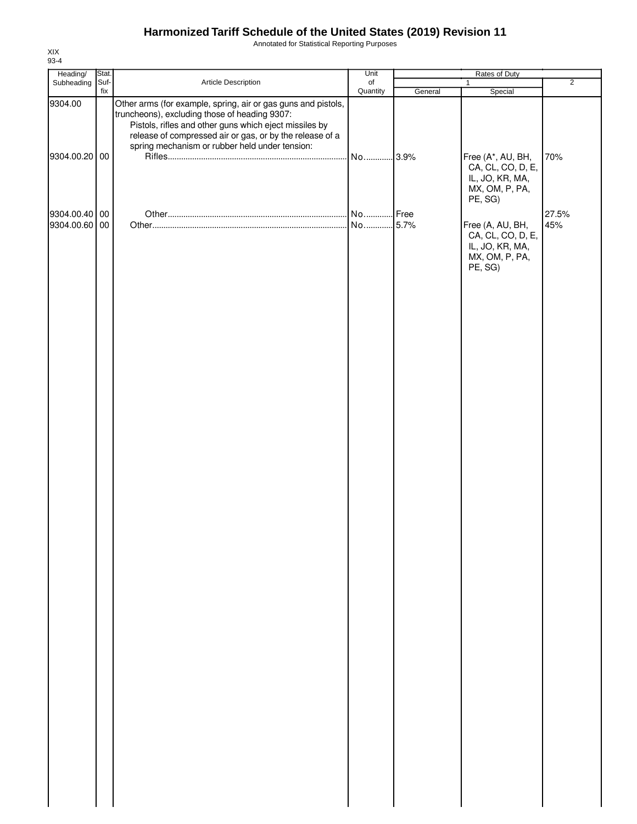Annotated for Statistical Reporting Purposes

| Heading/                       | Stat.       |                                                                                                                                                                                                                                                                                        | Unit           | Rates of Duty |                                                                                       |                |
|--------------------------------|-------------|----------------------------------------------------------------------------------------------------------------------------------------------------------------------------------------------------------------------------------------------------------------------------------------|----------------|---------------|---------------------------------------------------------------------------------------|----------------|
| Subheading                     | Suf-<br>fix | Article Description                                                                                                                                                                                                                                                                    | of<br>Quantity | General       | 1<br>Special                                                                          | $\overline{2}$ |
| 9304.00<br>9304.00.20 00       |             | Other arms (for example, spring, air or gas guns and pistols,<br>truncheons), excluding those of heading 9307:<br>Pistols, rifles and other guns which eject missiles by<br>release of compressed air or gas, or by the release of a<br>spring mechanism or rubber held under tension: | No             | .3.9%         | Free (A*, AU, BH,<br>CA, CL, CO, D, E,<br>IL, JO, KR, MA,<br>MX, OM, P, PA,           | 70%            |
|                                |             |                                                                                                                                                                                                                                                                                        |                |               | PE, SG)                                                                               |                |
| 9304.00.40 00<br>9304.00.60 00 |             |                                                                                                                                                                                                                                                                                        | No 5.7%        |               | Free (A, AU, BH,<br>CA, CL, CO, D, E,<br>IL, JO, KR, MA,<br>MX, OM, P, PA,<br>PE, SG) | 27.5%<br>45%   |
|                                |             |                                                                                                                                                                                                                                                                                        |                |               |                                                                                       |                |
|                                |             |                                                                                                                                                                                                                                                                                        |                |               |                                                                                       |                |
|                                |             |                                                                                                                                                                                                                                                                                        |                |               |                                                                                       |                |
|                                |             |                                                                                                                                                                                                                                                                                        |                |               |                                                                                       |                |
|                                |             |                                                                                                                                                                                                                                                                                        |                |               |                                                                                       |                |
|                                |             |                                                                                                                                                                                                                                                                                        |                |               |                                                                                       |                |
|                                |             |                                                                                                                                                                                                                                                                                        |                |               |                                                                                       |                |
|                                |             |                                                                                                                                                                                                                                                                                        |                |               |                                                                                       |                |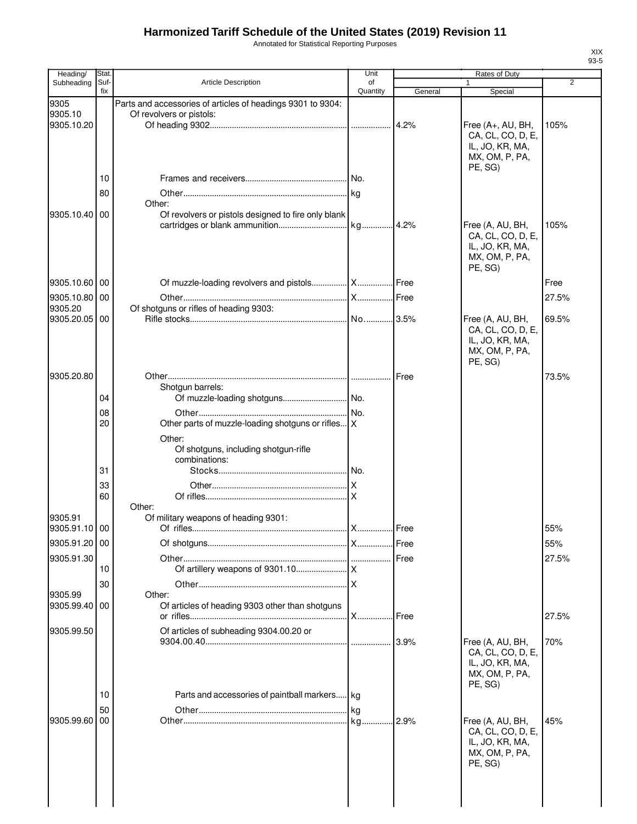Annotated for Statistical Reporting Purposes

| Heading/              | <b>Stat</b> |                                                               | Unit           |         | Rates of Duty                        |                |
|-----------------------|-------------|---------------------------------------------------------------|----------------|---------|--------------------------------------|----------------|
| Subheading            | Suf-<br>fix | <b>Article Description</b>                                    | of<br>Quantity | General | Special                              | $\overline{2}$ |
| 9305                  |             | Parts and accessories of articles of headings 9301 to 9304:   |                |         |                                      |                |
| 9305.10               |             | Of revolvers or pistols:                                      |                |         |                                      |                |
| 9305.10.20            |             |                                                               |                |         | Free (A+, AU, BH,                    | 105%           |
|                       |             |                                                               |                |         | CA, CL, CO, D, E,<br>IL, JO, KR, MA, |                |
|                       |             |                                                               |                |         | MX, OM, P, PA,                       |                |
|                       |             |                                                               |                |         | PE, SG)                              |                |
|                       | 10          |                                                               |                |         |                                      |                |
|                       | 80          |                                                               |                |         |                                      |                |
| 9305.10.40 00         |             | Other:<br>Of revolvers or pistols designed to fire only blank |                |         |                                      |                |
|                       |             |                                                               |                |         | Free (A, AU, BH,                     | 105%           |
|                       |             |                                                               |                |         | CA, CL, CO, D, E,                    |                |
|                       |             |                                                               |                |         | IL, JO, KR, MA,<br>MX, OM, P, PA,    |                |
|                       |             |                                                               |                |         | PE, SG)                              |                |
| 9305.10.60            | 00          |                                                               |                |         |                                      | Free           |
| 9305.10.80            | 00          |                                                               |                | Free    |                                      | 27.5%          |
| 9305.20               |             | Of shotguns or rifles of heading 9303:                        |                |         |                                      |                |
| 9305.20.05            | 00          |                                                               |                |         | Free (A, AU, BH,                     | 69.5%          |
|                       |             |                                                               |                |         | CA, CL, CO, D, E,                    |                |
|                       |             |                                                               |                |         | IL, JO, KR, MA,<br>MX, OM, P, PA,    |                |
|                       |             |                                                               |                |         | PE, SG)                              |                |
| 9305.20.80            |             |                                                               |                | Free    |                                      | 73.5%          |
|                       |             | Shotgun barrels:                                              |                |         |                                      |                |
|                       | 04          |                                                               |                |         |                                      |                |
|                       | 08<br>20    | Other parts of muzzle-loading shotguns or rifles X            |                |         |                                      |                |
|                       |             | Other:                                                        |                |         |                                      |                |
|                       |             | Of shotguns, including shotgun-rifle                          |                |         |                                      |                |
|                       |             | combinations:                                                 |                |         |                                      |                |
|                       | 31          |                                                               |                |         |                                      |                |
|                       | 33          |                                                               | ΙX             |         |                                      |                |
|                       | 60          | Other:                                                        |                |         |                                      |                |
| 9305.91               |             | Of military weapons of heading 9301:                          |                |         |                                      |                |
| 9305.91.10 00         |             |                                                               |                | Free    |                                      | 55%            |
| 9305.91.20 00         |             |                                                               |                | Free    |                                      | 55%            |
| 9305.91.30            |             |                                                               |                | Free    |                                      | 27.5%          |
|                       | 10          |                                                               |                |         |                                      |                |
|                       | 30          |                                                               |                |         |                                      |                |
| 9305.99<br>9305.99.40 | 00          | Other:<br>Of articles of heading 9303 other than shotguns     |                |         |                                      |                |
|                       |             |                                                               | X              | Free    |                                      | 27.5%          |
| 9305.99.50            |             | Of articles of subheading 9304.00.20 or                       |                |         |                                      |                |
|                       |             |                                                               | .              | 3.9%    | Free (A, AU, BH,                     | 70%            |
|                       |             |                                                               |                |         | CA, CL, CO, D, E,<br>IL, JO, KR, MA, |                |
|                       |             |                                                               |                |         | MX, OM, P, PA,                       |                |
|                       |             |                                                               |                |         | PE, SG)                              |                |
|                       | 10          | Parts and accessories of paintball markers kg                 |                |         |                                      |                |
| 9305.99.60            | 50<br>00    |                                                               | kg<br>kg.      | 2.9%    | Free (A, AU, BH,                     | 45%            |
|                       |             |                                                               |                |         | CA, CL, CO, D, E,                    |                |
|                       |             |                                                               |                |         | IL, JO, KR, MA,                      |                |
|                       |             |                                                               |                |         | MX, OM, P, PA,                       |                |
|                       |             |                                                               |                |         | PE, SG)                              |                |
|                       |             |                                                               |                |         |                                      |                |
|                       |             |                                                               |                |         |                                      |                |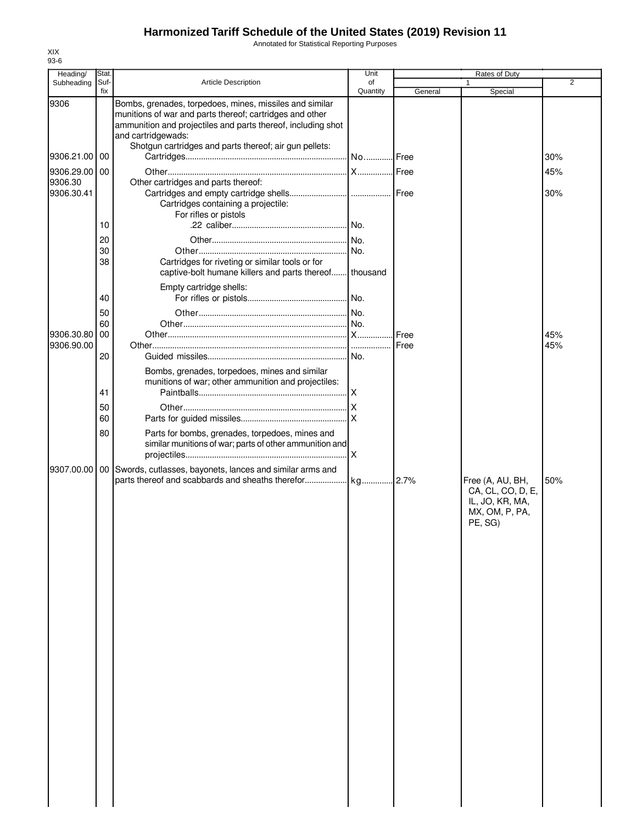Annotated for Statistical Reporting Purposes

| Heading/              | Stat.<br>Suf- |                                                                                                                                                                                                                                                                     | Unit<br>of |         | Rates of Duty                                                                         | $\overline{2}$ |
|-----------------------|---------------|---------------------------------------------------------------------------------------------------------------------------------------------------------------------------------------------------------------------------------------------------------------------|------------|---------|---------------------------------------------------------------------------------------|----------------|
| Subheading            | fix           | <b>Article Description</b>                                                                                                                                                                                                                                          | Quantity   | General | Special                                                                               |                |
| 9306                  |               | Bombs, grenades, torpedoes, mines, missiles and similar<br>munitions of war and parts thereof; cartridges and other<br>ammunition and projectiles and parts thereof, including shot<br>and cartridgewads:<br>Shotgun cartridges and parts thereof; air gun pellets: |            |         |                                                                                       |                |
| 9306.21.00            | 00            |                                                                                                                                                                                                                                                                     | No Free    |         |                                                                                       | 30%            |
| 9306.29.00            | 00            |                                                                                                                                                                                                                                                                     |            |         |                                                                                       | 45%            |
| 9306.30<br>9306.30.41 | 10            | Other cartridges and parts thereof:<br>Cartridges containing a projectile:<br>For rifles or pistols                                                                                                                                                                 | No.        |         |                                                                                       | 30%            |
|                       |               |                                                                                                                                                                                                                                                                     |            |         |                                                                                       |                |
|                       | 20            |                                                                                                                                                                                                                                                                     | No.        |         |                                                                                       |                |
|                       | 30<br>38      |                                                                                                                                                                                                                                                                     | No.        |         |                                                                                       |                |
|                       |               | Cartridges for riveting or similar tools or for<br>captive-bolt humane killers and parts thereof                                                                                                                                                                    | thousand   |         |                                                                                       |                |
|                       |               | Empty cartridge shells:                                                                                                                                                                                                                                             |            |         |                                                                                       |                |
|                       | 40            |                                                                                                                                                                                                                                                                     |            |         |                                                                                       |                |
|                       | 50            |                                                                                                                                                                                                                                                                     |            |         |                                                                                       |                |
|                       | 60            |                                                                                                                                                                                                                                                                     |            |         |                                                                                       |                |
| 9306.30.80            | 00            |                                                                                                                                                                                                                                                                     |            | Free    |                                                                                       | 45%            |
| 9306.90.00            |               |                                                                                                                                                                                                                                                                     |            | Free    |                                                                                       | 45%            |
|                       | 20            |                                                                                                                                                                                                                                                                     | No.        |         |                                                                                       |                |
|                       | 41            | Bombs, grenades, torpedoes, mines and similar<br>munitions of war; other ammunition and projectiles:                                                                                                                                                                | $\times$   |         |                                                                                       |                |
|                       |               |                                                                                                                                                                                                                                                                     |            |         |                                                                                       |                |
|                       | 50            |                                                                                                                                                                                                                                                                     |            |         |                                                                                       |                |
|                       | 60            |                                                                                                                                                                                                                                                                     |            |         |                                                                                       |                |
|                       | 80            | Parts for bombs, grenades, torpedoes, mines and<br>similar munitions of war; parts of other ammunition and                                                                                                                                                          | $\times$   |         |                                                                                       |                |
| 9307.00.00            |               | 00 Swords, cutlasses, bayonets, lances and similar arms and<br>parts thereof and scabbards and sheaths therefor                                                                                                                                                     | kg 2.7%    |         | Free (A, AU, BH,<br>CA, CL, CO, D, E,<br>IL, JO, KR, MA,<br>MX, OM, P, PA,<br>PE, SG) | 50%            |
|                       |               |                                                                                                                                                                                                                                                                     |            |         |                                                                                       |                |